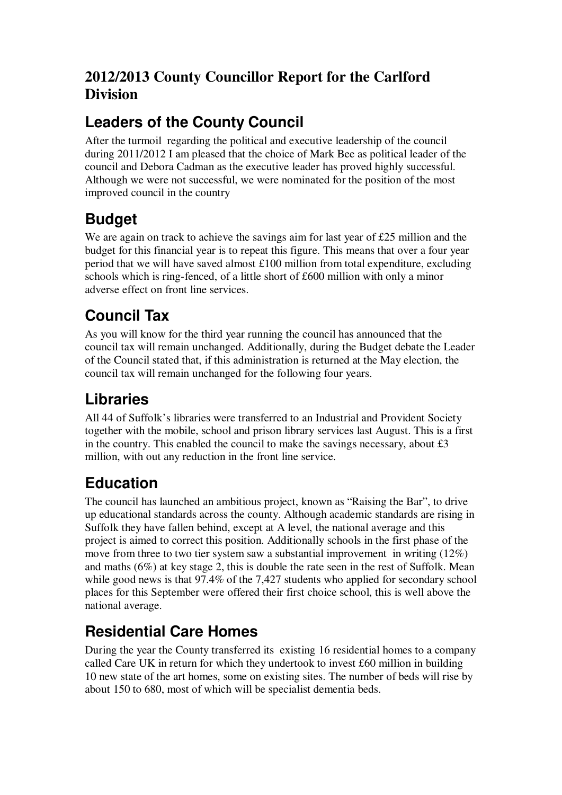#### **2012/2013 County Councillor Report for the Carlford Division**

#### **Leaders of the County Council**

After the turmoil regarding the political and executive leadership of the council during 2011/2012 I am pleased that the choice of Mark Bee as political leader of the council and Debora Cadman as the executive leader has proved highly successful. Although we were not successful, we were nominated for the position of the most improved council in the country

# **Budget**

We are again on track to achieve the savings aim for last year of £25 million and the budget for this financial year is to repeat this figure. This means that over a four year period that we will have saved almost £100 million from total expenditure, excluding schools which is ring-fenced, of a little short of £600 million with only a minor adverse effect on front line services.

# **Council Tax**

As you will know for the third year running the council has announced that the council tax will remain unchanged. Additionally, during the Budget debate the Leader of the Council stated that, if this administration is returned at the May election, the council tax will remain unchanged for the following four years.

# **Libraries**

All 44 of Suffolk's libraries were transferred to an Industrial and Provident Society together with the mobile, school and prison library services last August. This is a first in the country. This enabled the council to make the savings necessary, about  $\pounds 3$ million, with out any reduction in the front line service.

# **Education**

The council has launched an ambitious project, known as "Raising the Bar", to drive up educational standards across the county. Although academic standards are rising in Suffolk they have fallen behind, except at A level, the national average and this project is aimed to correct this position. Additionally schools in the first phase of the move from three to two tier system saw a substantial improvement in writing (12%) and maths (6%) at key stage 2, this is double the rate seen in the rest of Suffolk. Mean while good news is that 97.4% of the 7.427 students who applied for secondary school places for this September were offered their first choice school, this is well above the national average.

# **Residential Care Homes**

During the year the County transferred its existing 16 residential homes to a company called Care UK in return for which they undertook to invest £60 million in building 10 new state of the art homes, some on existing sites. The number of beds will rise by about 150 to 680, most of which will be specialist dementia beds.